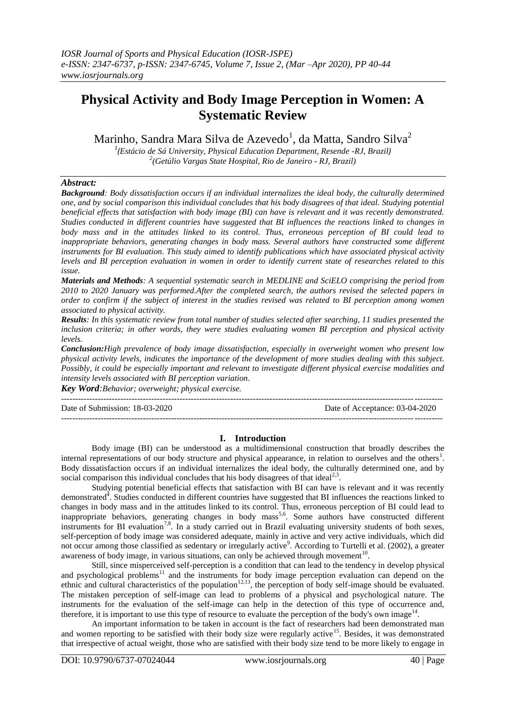# **Physical Activity and Body Image Perception in Women: A Systematic Review**

Marinho, Sandra Mara Silva de Azevedo $^{\rm l}$ , da Matta, Sandro Silva $^{\rm 2}$ 

*1 (Estácio de Sá University, Physical Education Department, Resende -RJ, Brazil) 2 (Getúlio Vargas State Hospital, Rio de Janeiro - RJ, Brazil)*

## *Abstract:*

*Background: Body dissatisfaction occurs if an individual internalizes the ideal body, the culturally determined one, and by social comparison this individual concludes that his body disagrees of that ideal. Studying potential beneficial effects that satisfaction with body image (BI) can have is relevant and it was recently demonstrated. Studies conducted in different countries have suggested that BI influences the reactions linked to changes in body mass and in the attitudes linked to its control. Thus, erroneous perception of BI could lead to inappropriate behaviors, generating changes in body mass. Several authors have constructed some different instruments for BI evaluation. This study aimed to identify publications which have associated physical activity levels and BI perception evaluation in women in order to identify current state of researches related to this issue.*

*Materials and Methods: A sequential systematic search in MEDLINE and SciELO comprising the period from 2010 to 2020 January was performed.After the completed search, the authors revised the selected papers in order to confirm if the subject of interest in the studies revised was related to BI perception among women associated to physical activity.*

*Results: In this systematic review from total number of studies selected after searching, 11 studies presented the inclusion criteria; in other words, they were studies evaluating women BI perception and physical activity levels.*

*Conclusion:High prevalence of body image dissatisfaction, especially in overweight women who present low physical activity levels, indicates the importance of the development of more studies dealing with this subject. Possibly, it could be especially important and relevant to investigate different physical exercise modalities and intensity levels associated with BI perception variation.*

*Key Word:Behavior; overweight; physical exercise.* ---------------------------------------------------------------------------------------------------------------------------------------

Date of Submission: 18-03-2020 Date of Acceptance: 03-04-2020 ---------------------------------------------------------------------------------------------------------------------------------------

#### **I. Introduction**

Body image (BI) can be understood as a multidimensional construction that broadly describes the internal representations of our body structure and physical appearance, in relation to ourselves and the others<sup>1</sup>. Body dissatisfaction occurs if an individual internalizes the ideal body, the culturally determined one, and by social comparison this individual concludes that his body disagrees of that ideal<sup>2,3</sup>.

Studying potential beneficial effects that satisfaction with BI can have is relevant and it was recently demonstrated<sup>4</sup>. Studies conducted in different countries have suggested that BI influences the reactions linked to changes in body mass and in the attitudes linked to its control. Thus, erroneous perception of BI could lead to inappropriate behaviors, generating changes in body mass<sup>5,6</sup>. Some authors have constructed different instruments for BI evaluation<sup>7,8</sup>. In a study carried out in Brazil evaluating university students of both sexes, self-perception of body image was considered adequate, mainly in active and very active individuals, which did not occur among those classified as sedentary or irregularly active<sup>9</sup>. According to Turtelli et al. (2002), a greater awareness of body image, in various situations, can only be achieved through movement<sup>10</sup>.

Still, since misperceived self-perception is a condition that can lead to the tendency in develop physical and psychological problems<sup>11</sup> and the instruments for body image perception evaluation can depend on the ethnic and cultural characteristics of the population<sup>12,13</sup>, the perception of body self-image should be evaluated. The mistaken perception of self-image can lead to problems of a physical and psychological nature. The instruments for the evaluation of the self-image can help in the detection of this type of occurrence and, therefore, it is important to use this type of resource to evaluate the perception of the body's own image $14$ .

An important information to be taken in account is the fact of researchers had been demonstrated man and women reporting to be satisfied with their body size were regularly active<sup>15</sup>. Besides, it was demonstrated that irrespective of actual weight, those who are satisfied with their body size tend to be more likely to engage in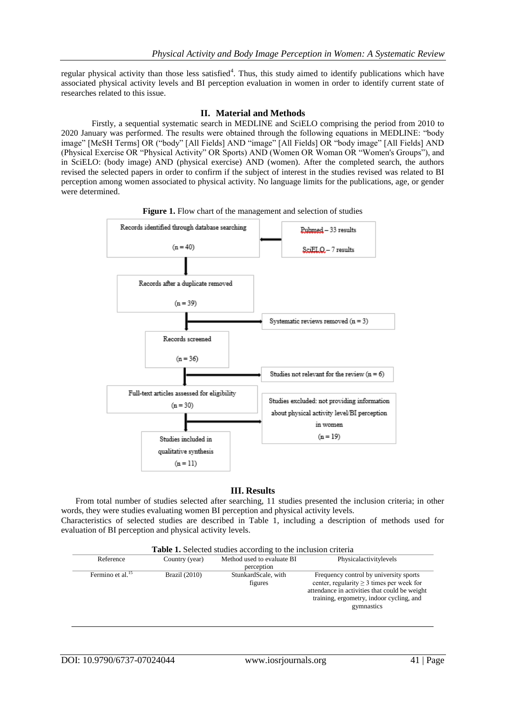regular physical activity than those less satisfied<sup>4</sup>. Thus, this study aimed to identify publications which have associated physical activity levels and BI perception evaluation in women in order to identify current state of researches related to this issue.

### **II. Material and Methods**

Firstly, a sequential systematic search in MEDLINE and SciELO comprising the period from 2010 to 2020 January was performed. The results were obtained through the following equations in MEDLINE: "body image" [MeSH Terms] OR ("body" [All Fields] AND "image" [All Fields] OR "body image" [All Fields] AND (Physical Exercise OR "Physical Activity" OR Sports) AND (Women OR Woman OR "Women's Groups"), and in SciELO: (body image) AND (physical exercise) AND (women). After the completed search, the authors revised the selected papers in order to confirm if the subject of interest in the studies revised was related to BI perception among women associated to physical activity. No language limits for the publications, age, or gender were determined.



**Figure 1.** Flow chart of the management and selection of studies

#### **III. Results**

From total number of studies selected after searching, 11 studies presented the inclusion criteria; in other words, they were studies evaluating women BI perception and physical activity levels.

Characteristics of selected studies are described in Table 1, including a description of methods used for evaluation of BI perception and physical activity levels.

| Table 1. Selected studies according to the inclusion criteria |                |                                          |                                                                                                                                                                                                     |  |
|---------------------------------------------------------------|----------------|------------------------------------------|-----------------------------------------------------------------------------------------------------------------------------------------------------------------------------------------------------|--|
| Reference                                                     | Country (year) | Method used to evaluate BI<br>perception | Physicalactivitylevels                                                                                                                                                                              |  |
| Fermino et al. <sup>15</sup>                                  | Brazil (2010)  | StunkardScale, with<br>figures           | Frequency control by university sports<br>center, regularity $\geq 3$ times per week for<br>attendance in activities that could be weight<br>training, ergometry, indoor cycling, and<br>gymnastics |  |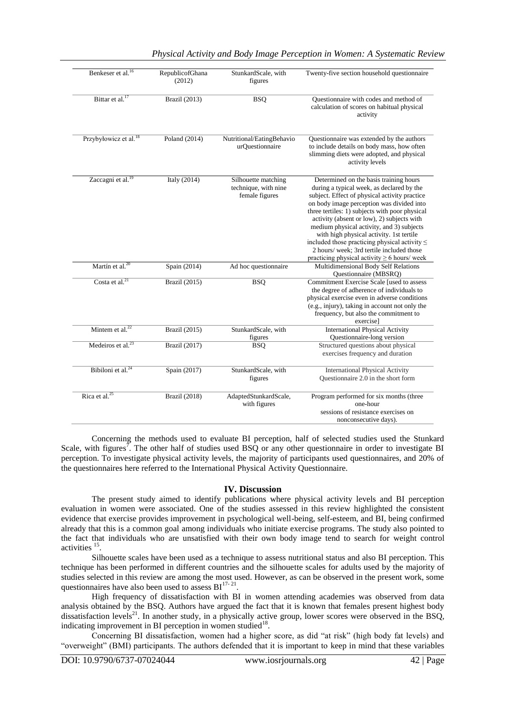| Benkeser et al. <sup>16</sup>     | RepublicofGhana<br>(2012) | StunkardScale, with<br>figures                                | Twenty-five section household questionnaire                                                                                                                                                                                                                                                                                                                                                                                                                                                                                       |
|-----------------------------------|---------------------------|---------------------------------------------------------------|-----------------------------------------------------------------------------------------------------------------------------------------------------------------------------------------------------------------------------------------------------------------------------------------------------------------------------------------------------------------------------------------------------------------------------------------------------------------------------------------------------------------------------------|
| Bittar et al. <sup>17</sup>       | Brazil (2013)             | <b>BSQ</b>                                                    | Questionnaire with codes and method of<br>calculation of scores on habitual physical<br>activity                                                                                                                                                                                                                                                                                                                                                                                                                                  |
| Przybyłowicz et al. <sup>18</sup> | Poland $(2014)$           | Nutritional/EatingBehavio<br>urQuestionnaire                  | Questionnaire was extended by the authors<br>to include details on body mass, how often<br>slimming diets were adopted, and physical<br>activity levels                                                                                                                                                                                                                                                                                                                                                                           |
| Zaccagni et al. <sup>19</sup>     | Italy $(2014)$            | Silhouette matching<br>technique, with nine<br>female figures | Determined on the basis training hours<br>during a typical week, as declared by the<br>subject. Effect of physical activity practice<br>on body image perception was divided into<br>three tertiles: 1) subjects with poor physical<br>activity (absent or low), 2) subjects with<br>medium physical activity, and 3) subjects<br>with high physical activity. 1st tertile<br>included those practicing physical activity $\leq$<br>2 hours/week: 3rd tertile included those<br>practicing physical activity $\geq 6$ hours/ week |
| Martín et al. <sup>20</sup>       | Spain (2014)              | Ad hoc questionnaire                                          | Multidimensional Body Self Relations<br>Questionnaire (MBSRQ)                                                                                                                                                                                                                                                                                                                                                                                                                                                                     |
| Costa et al. <sup>21</sup>        | Brazil (2015)             | <b>BSO</b>                                                    | Commitment Exercise Scale [used to assess<br>the degree of adherence of individuals to<br>physical exercise even in adverse conditions<br>(e.g., injury), taking in account not only the<br>frequency, but also the commitment to<br>exercisel                                                                                                                                                                                                                                                                                    |
| Mintem et al. $^{22}$             | Brazil (2015)             | StunkardScale, with<br>figures                                | <b>International Physical Activity</b><br>Questionnaire-long version                                                                                                                                                                                                                                                                                                                                                                                                                                                              |
| Medeiros et al. $^{23}$           | Brazil (2017)             | <b>BSQ</b>                                                    | Structured questions about physical<br>exercises frequency and duration                                                                                                                                                                                                                                                                                                                                                                                                                                                           |
| Bibiloni et al. $^{24}$           | Spain (2017)              | StunkardScale, with<br>figures                                | <b>International Physical Activity</b><br>Questionnaire 2.0 in the short form                                                                                                                                                                                                                                                                                                                                                                                                                                                     |
| Rica et al. $^{25}$               | <b>Brazil</b> (2018)      | AdaptedStunkardScale,<br>with figures                         | Program performed for six months (three<br>one-hour<br>sessions of resistance exercises on<br>nonconsecutive days).                                                                                                                                                                                                                                                                                                                                                                                                               |

Concerning the methods used to evaluate BI perception, half of selected studies used the Stunkard Scale, with figures<sup>7</sup>. The other half of studies used BSQ or any other questionnaire in order to investigate BI perception. To investigate physical activity levels, the majority of participants used questionnaires, and 20% of the questionnaires here referred to the International Physical Activity Questionnaire.

#### **IV. Discussion**

The present study aimed to identify publications where physical activity levels and BI perception evaluation in women were associated. One of the studies assessed in this review highlighted the consistent evidence that exercise provides improvement in psychological well-being, self-esteem, and BI, being confirmed already that this is a common goal among individuals who initiate exercise programs. The study also pointed to the fact that individuals who are unsatisfied with their own body image tend to search for weight control activities $1$ .

Silhouette scales have been used as a technique to assess nutritional status and also BI perception. This technique has been performed in different countries and the silhouette scales for adults used by the majority of studies selected in this review are among the most used. However, as can be observed in the present work, some questionnaires have also been used to assess  $BI^{17-21}$ .

High frequency of dissatisfaction with BI in women attending academies was observed from data analysis obtained by the BSQ. Authors have argued the fact that it is known that females present highest body dissatisfaction levels<sup>21</sup>. In another study, in a physically active group, lower scores were observed in the BSQ, indicating improvement in BI perception in women studied $18$ .

Concerning BI dissatisfaction, women had a higher score, as did "at risk" (high body fat levels) and "overweight" (BMI) participants. The authors defended that it is important to keep in mind that these variables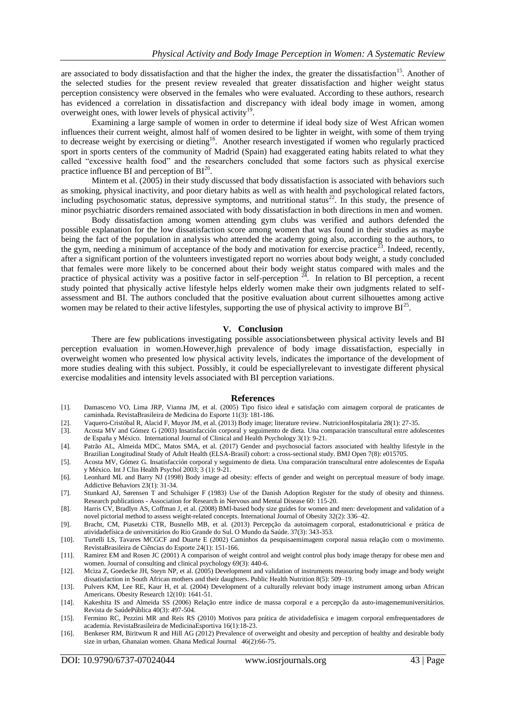are associated to body dissatisfaction and that the higher the index, the greater the dissatisfaction<sup>15</sup>. Another of the selected studies for the present review revealed that greater dissatisfaction and higher weight status perception consistency were observed in the females who were evaluated. According to these authors, research has evidenced a correlation in dissatisfaction and discrepancy with ideal body image in women, among overweight ones, with lower levels of physical activity<sup>19</sup>.

Examining a large sample of women in order to determine if ideal body size of West African women influences their current weight, almost half of women desired to be lighter in weight, with some of them trying to decrease weight by exercising or dieting<sup>16</sup>. Another research investigated if women who regularly practiced sport in sports centers of the community of Madrid (Spain) had exaggerated eating habits related to what they called "excessive health food" and the researchers concluded that some factors such as physical exercise practice influence BI and perception of  $BI^{20}$ .

Mintem et al. (2005) in their study discussed that body dissatisfaction is associated with behaviors such as smoking, physical inactivity, and poor dietary habits as well as with health and psychological related factors, including psychosomatic status, depressive symptoms, and nutritional status $^{22}$ . In this study, the presence of minor psychiatric disorders remained associated with body dissatisfaction in both directions in men and women.

Body dissatisfaction among women attending gym clubs was verified and authors defended the possible explanation for the low dissatisfaction score among women that was found in their studies as maybe being the fact of the population in analysis who attended the academy going also, according to the authors, to the gym, needing a minimum of acceptance of the body and motivation for exercise practice<sup>23</sup>. Indeed, recently, after a significant portion of the volunteers investigated report no worries about body weight, a study concluded that females were more likely to be concerned about their body weight status compared with males and the practice of physical activity was a positive factor in self-perception  $2\overline{4}$ . In relation to BI perception, a recent study pointed that physically active lifestyle helps elderly women make their own judgments related to selfassessment and BI. The authors concluded that the positive evaluation about current silhouettes among active women may be related to their active lifestyles, supporting the use of physical activity to improve  $BI^{25}$ .

#### **V. Conclusion**

There are few publications investigating possible associationsbetween physical activity levels and BI perception evaluation in women.However,high prevalence of body image dissatisfaction, especially in overweight women who presented low physical activity levels, indicates the importance of the development of more studies dealing with this subject. Possibly, it could be especiallyrelevant to investigate different physical exercise modalities and intensity levels associated with BI perception variations.

#### **References**

- [1]. Damasceno VO, Lima JRP, Vianna JM, et al. (2005) Tipo físico ideal e satisfação com aimagem corporal de praticantes de caminhada. RevistaBrasileira de Medicina do Esporte 11(3): 181-186.
- [2]. Vaquero-Cristóbal R, Alacid F, Muyor JM, et al. (2013) Body image; literature review. NutricionHospitalaria 28(1): 27-35.
- [3]. Acosta MV and Gómez G (2003) Insatisfacción corporal y seguimento de dieta. Una comparación transcultural entre adolescentes de España y México. International Journal of Clinical and Health Psychology 3(1): 9-21.
- [4]. Patrão AL, Almeida MDC, Matos SMA, et al. (2017) Gender and psychosocial factors associated with healthy lifestyle in the Brazilian Longitudinal Study of Adult Health (ELSA-Brasil) cohort: a cross-sectional study. BMJ Open 7(8): e015705.
- [5]. Acosta MV, Gómez G. Insatisfacción corporal y seguimento de dieta. Una comparación transcultural entre adolescentes de España y México. Int J Clin Health Psychol 2003; 3 (1): 9-21.
- [6]. Leonhard ML and Barry NJ (1998) Body image ad obesity: effects of gender and weight on perceptual measure of body image. Addictive Behaviors 23(1): 31-34.
- [7]. Stunkard AJ, Sørensen T and Schulsiger F (1983) Use of the Danish Adoption Register for the study of obesity and thinness. Research publications - Association for Research in Nervous and Mental Disease 60: 115-20.
- [8]. Harris CV, Bradlyn AS, Coffman J, et al. (2008) BMI-based body size guides for women and men: development and validation of a novel pictorial method to assess weight-related concepts. International Journal of Obesity 32(2): 336–42.
- [9]. Bracht, CM, Piasetzki CTR, Busnello MB, et al. (2013) Percepção da autoimagem corporal, estadonutricional e prática de atividadefísica de universitários do Rio Grande do Sul. O Mundo da Saúde. 37(3): 343-353.
- [10]. Turtelli LS, Tavares MCGCF and Duarte E (2002) Caminhos da pesquisaemimagem corporal nasua relação com o movimento. RevistaBrasileira de Ciências do Esporte 24(1): 151-166.
- [11]. Ramirez EM and Rosen JC (2001) A comparison of weight control and weight control plus body image therapy for obese men and women. Journal of consulting and clinical psychology 69(3): 440-6.
- [12]. Mciza Z, Goedecke JH, Steyn NP, et al. (2005) Development and validation of instruments measuring body image and body weight dissatisfaction in South African mothers and their daughters. Public Health Nutrition 8(5): 509–19.
- [13]. Pulvers KM, Lee RE, Kaur H, et al. (2004) Development of a culturally relevant body image instrument among urban African Americans. Obesity Research 12(10): 1641-51.
- [14]. Kakeshita IS and Almeida SS (2006) Relação entre índice de massa corporal e a percepção da auto-imagememuniversitários. Revista de SaúdePública 40(3): 497-504.
- [15]. Fermino RC, Pezzini MR and Reis RS (2010) Motivos para prática de atividadefísica e imagem corporal emfrequentadores de academia. RevistaBrasileira de MedicinaEsportiva 16(1):18-23.
- [16]. Benkeser RM, Biritwum R and Hill AG (2012) Prevalence of overweight and obesity and perception of healthy and desirable body size in urban, Ghanaian women. Ghana Medical Journal 46(2):66-75.